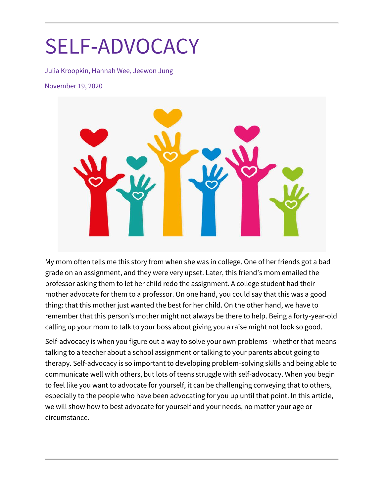# SELF-ADVOCACY

Julia Kroopkin, Hannah Wee, Jeewon Jung

November 19, 2020



My mom often tells me this story from when she was in college. One of her friends got a bad grade on an assignment, and they were very upset. Later, this friend's mom emailed the professor asking them to let her child redo the assignment. A college student had their mother advocate for them to a professor. On one hand, you could say that this was a good thing: that this mother just wanted the best for her child. On the other hand, we have to remember that this person's mother might not always be there to help. Being a forty-year-old calling up your mom to talk to your boss about giving you a raise might not look so good.

Self-advocacy is when you figure out a way to solve your own problems - whether that means talking to a teacher about a school assignment or talking to your parents about going to therapy. Self-advocacy is so important to developing problem-solving skills and being able to communicate well with others, but lots of teens struggle with self-advocacy. When you begin to feel like you want to advocate for yourself, it can be challenging conveying that to others, especially to the people who have been advocating for you up until that point. In this article, we will show how to best advocate for yourself and your needs, no matter your age or circumstance.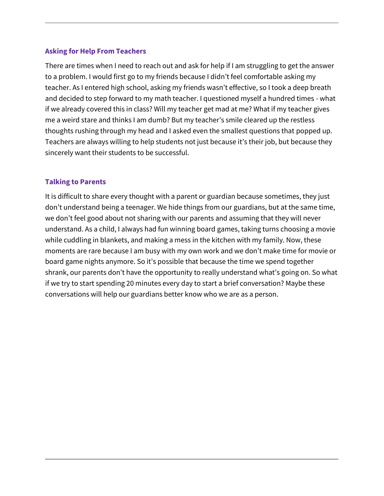# **Asking for Help From Teachers**

There are times when I need to reach out and ask for help if I am struggling to get the answer to a problem. I would first go to my friends because I didn't feel comfortable asking my teacher. As I entered high school, asking my friends wasn't effective, so I took a deep breath and decided to step forward to my math teacher. I questioned myself a hundred times - what if we already covered this in class? Will my teacher get mad at me? What if my teacher gives me a weird stare and thinks I am dumb? But my teacher's smile cleared up the restless thoughts rushing through my head and I asked even the smallest questions that popped up. Teachers are always willing to help students not just because it's their job, but because they sincerely want their students to be successful.

#### **Talking to Parents**

It is difficult to share every thought with a parent or guardian because sometimes, they just don't understand being a teenager. We hide things from our guardians, but at the same time, we don't feel good about not sharing with our parents and assuming that they will never understand. As a child, I always had fun winning board games, taking turns choosing a movie while cuddling in blankets, and making a mess in the kitchen with my family. Now, these moments are rare because I am busy with my own work and we don't make time for movie or board game nights anymore. So it's possible that because the time we spend together shrank, our parents don't have the opportunity to really understand what's going on. So what if we try to start spending 20 minutes every day to start a brief conversation? Maybe these conversations will help our guardians better know who we are as a person.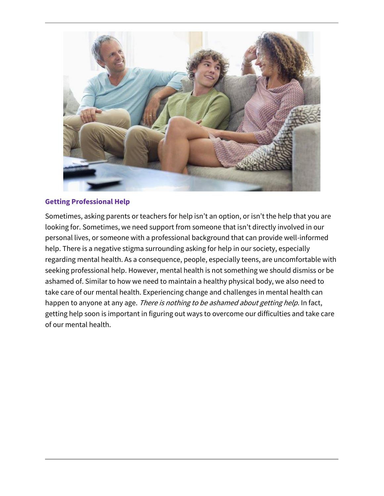

#### **Getting Professional Help**

Sometimes, asking parents or teachers for help isn't an option, or isn't the help that you are looking for. Sometimes, we need support from someone that isn't directly involved in our personal lives, or someone with a professional background that can provide well-informed help. There is a negative stigma surrounding asking for help in our society, especially regarding mental health. As a consequence, people, especially teens, are uncomfortable with seeking professional help. However, mental health is not something we should dismiss or be ashamed of. Similar to how we need to maintain a healthy physical body, we also need to take care of our mental health. Experiencing change and challenges in mental health can happen to anyone at any age. There is nothing to be ashamed about getting help. In fact, getting help soon is important in figuring out ways to overcome our difficulties and take care of our mental health.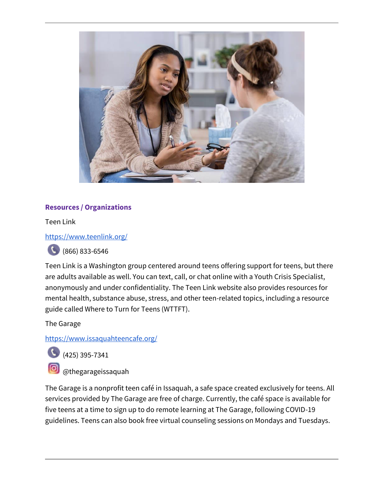

# **Resources / Organizations**

Teen Link

<https://www.teenlink.org/>



(866) 833-6546

Teen Link is a Washington group centered around teens offering support for teens, but there are adults available as well. You can text, call, or chat online with a Youth Crisis Specialist, anonymously and under confidentiality. The Teen Link website also provides resources for mental health, substance abuse, stress, and other teen-related topics, including a resource guide called Where to Turn for Teens (WTTFT).

The Garage

<https://www.issaquahteencafe.org/>



 $(425)$  395-7341

@thegarageissaquah

The Garage is a nonprofit teen café in Issaquah, a safe space created exclusively for teens. All services provided by The Garage are free of charge. Currently, the café space is available for five teens at a time to sign up to do remote learning at The Garage, following COVID-19 guidelines. Teens can also book free virtual counseling sessions on Mondays and Tuesdays.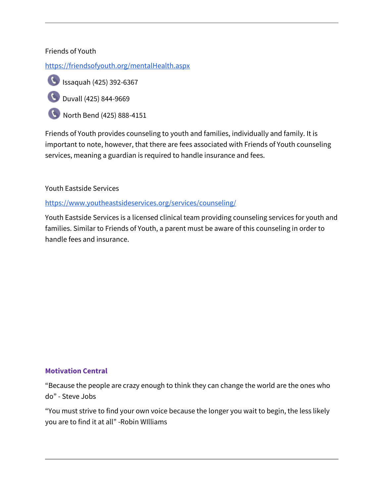# Friends of Youth

<https://friendsofyouth.org/mentalHealth.aspx>



Issaquah (425) 392-6367

Duvall (425) 844-9669

North Bend (425) 888-4151

Friends of Youth provides counseling to youth and families, individually and family. It is important to note, however, that there are fees associated with Friends of Youth counseling services, meaning a guardian is required to handle insurance and fees.

Youth Eastside Services

<https://www.youtheastsideservices.org/services/counseling/>

Youth Eastside Services is a licensed clinical team providing counseling services for youth and families. Similar to Friends of Youth, a parent must be aware of this counseling in order to handle fees and insurance.

# **Motivation Central**

"Because the people are crazy enough to think they can change the world are the ones who do" - Steve Jobs

"You must strive to find your own voice because the longer you wait to begin, the less likely you are to find it at all" -Robin WIlliams